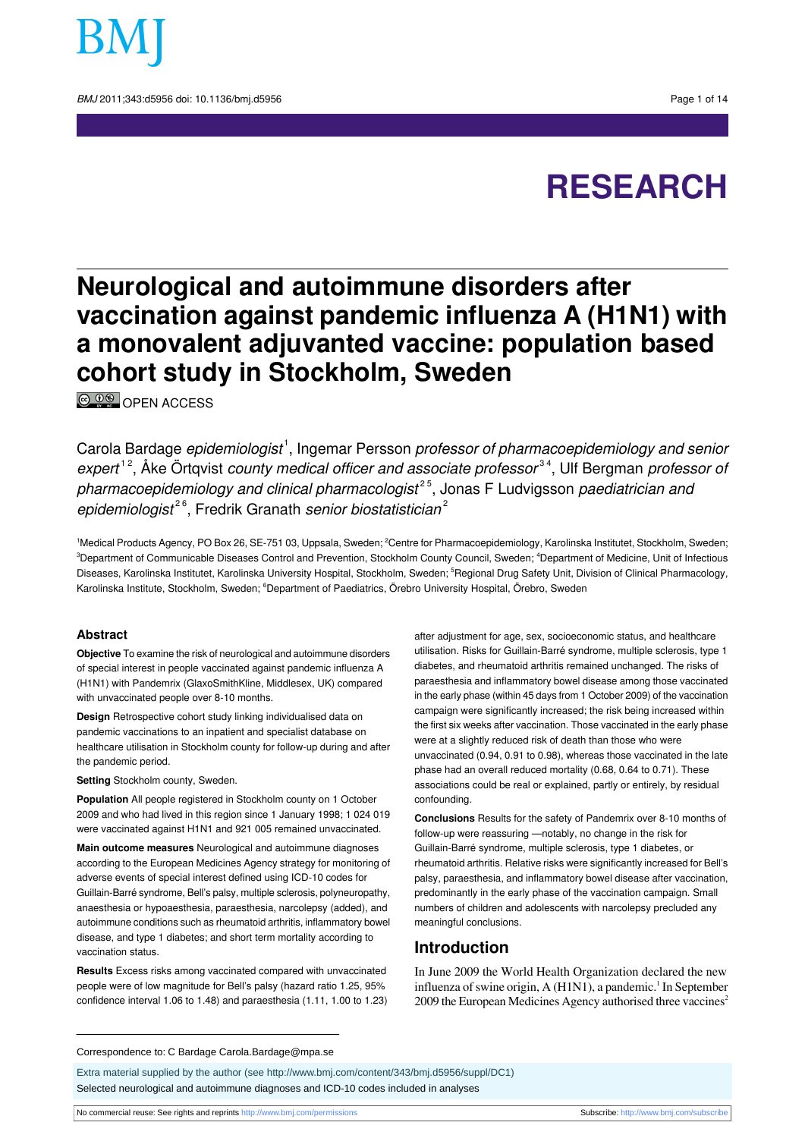

BMJ 2011:343:d5956 doi: 10.1136/bmi.d5956 Page 1 of 14

# **RESEARCH**

## **Neurological and autoimmune disorders after vaccination against pandemic influenza A (H1N1) with a monovalent adjuvanted vaccine: population based cohort study in Stockholm, Sweden**

<sup>©</sup>
<sup>O</sup>
©
OPEN ACCESS

Carola Bardage *epidemiologist*<sup>1</sup>, Ingemar Persson *professor of pharmacoepidemiology and senior* expert<sup>12</sup>, Åke Örtqvist county medical officer and associate professor<sup>34</sup>, Ulf Bergman professor or *pharmacoepidemiology and clinical pharmacologist<sup>25</sup>,* Jonas F Ludvigsson *paediatrician and* epidemiologist<sup>26</sup>, Fredrik Granath senior biostatistician<sup>2</sup>

<sup>1</sup>Medical Products Agency, PO Box 26, SE-751 03, Uppsala, Sweden; <sup>2</sup>Centre for Pharmacoepidemiology, Karolinska Institutet, Stockholm, Sweden; <sup>3</sup>Department of Communicable Diseases Control and Prevention, Stockholm County Council, Sweden; <sup>4</sup>Department of Medicine, Unit of Infectious Diseases, Karolinska Institutet, Karolinska University Hospital, Stockholm, Sweden; <sup>5</sup>Regional Drug Safety Unit, Division of Clinical Pharmacology, Karolinska Institute, Stockholm, Sweden; <sup>6</sup>Department of Paediatrics, Örebro University Hospital, Örebro, Sweden

#### **Abstract**

**Objective** To examine the risk of neurological and autoimmune disorders of special interest in people vaccinated against pandemic influenza A (H1N1) with Pandemrix (GlaxoSmithKline, Middlesex, UK) compared with unvaccinated people over 8-10 months.

**Design** Retrospective cohort study linking individualised data on pandemic vaccinations to an inpatient and specialist database on healthcare utilisation in Stockholm county for follow-up during and after the pandemic period.

**Setting** Stockholm county, Sweden.

**Population** All people registered in Stockholm county on 1 October 2009 and who had lived in this region since 1 January 1998; 1 024 019 were vaccinated against H1N1 and 921 005 remained unvaccinated.

**Main outcome measures** Neurological and autoimmune diagnoses according to the European Medicines Agency strategy for monitoring of adverse events of special interest defined using ICD-10 codes for Guillain-Barré syndrome, Bell's palsy, multiple sclerosis, polyneuropathy, anaesthesia or hypoaesthesia, paraesthesia, narcolepsy (added), and autoimmune conditions such as rheumatoid arthritis, inflammatory bowel disease, and type 1 diabetes; and short term mortality according to vaccination status.

**Results** Excess risks among vaccinated compared with unvaccinated people were of low magnitude for Bell's palsy (hazard ratio 1.25, 95% confidence interval 1.06 to 1.48) and paraesthesia (1.11, 1.00 to 1.23)

after adjustment for age, sex, socioeconomic status, and healthcare utilisation. Risks for Guillain-Barré syndrome, multiple sclerosis, type 1 diabetes, and rheumatoid arthritis remained unchanged. The risks of paraesthesia and inflammatory bowel disease among those vaccinated in the early phase (within 45 days from 1 October 2009) of the vaccination campaign were significantly increased; the risk being increased within the first six weeks after vaccination. Those vaccinated in the early phase were at a slightly reduced risk of death than those who were unvaccinated (0.94, 0.91 to 0.98), whereas those vaccinated in the late phase had an overall reduced mortality (0.68, 0.64 to 0.71). These associations could be real or explained, partly or entirely, by residual confounding.

**Conclusions** Results for the safety of Pandemrix over 8-10 months of follow-up were reassuring —notably, no change in the risk for Guillain-Barré syndrome, multiple sclerosis, type 1 diabetes, or rheumatoid arthritis. Relative risks were significantly increased for Bell's palsy, paraesthesia, and inflammatory bowel disease after vaccination, predominantly in the early phase of the vaccination campaign. Small numbers of children and adolescents with narcolepsy precluded any meaningful conclusions.

## **Introduction**

In June 2009 the World Health Organization declared the new influenza of swine origin, A (H1N1), a pandemic.<sup>1</sup> In September 2009 the European Medicines Agency authorised three vaccines<sup>2</sup>

Correspondence to: C Bardage Carola.Bardage@mpa.se

Extra material supplied by the author (see [http://www.bmj.com/content/343/bmj.d5956/suppl/DC1\)](http://www.bmj.com/content/343/bmj.d5956/suppl/DC1)

Selected neurological and autoimmune diagnoses and ICD-10 codes included in analyses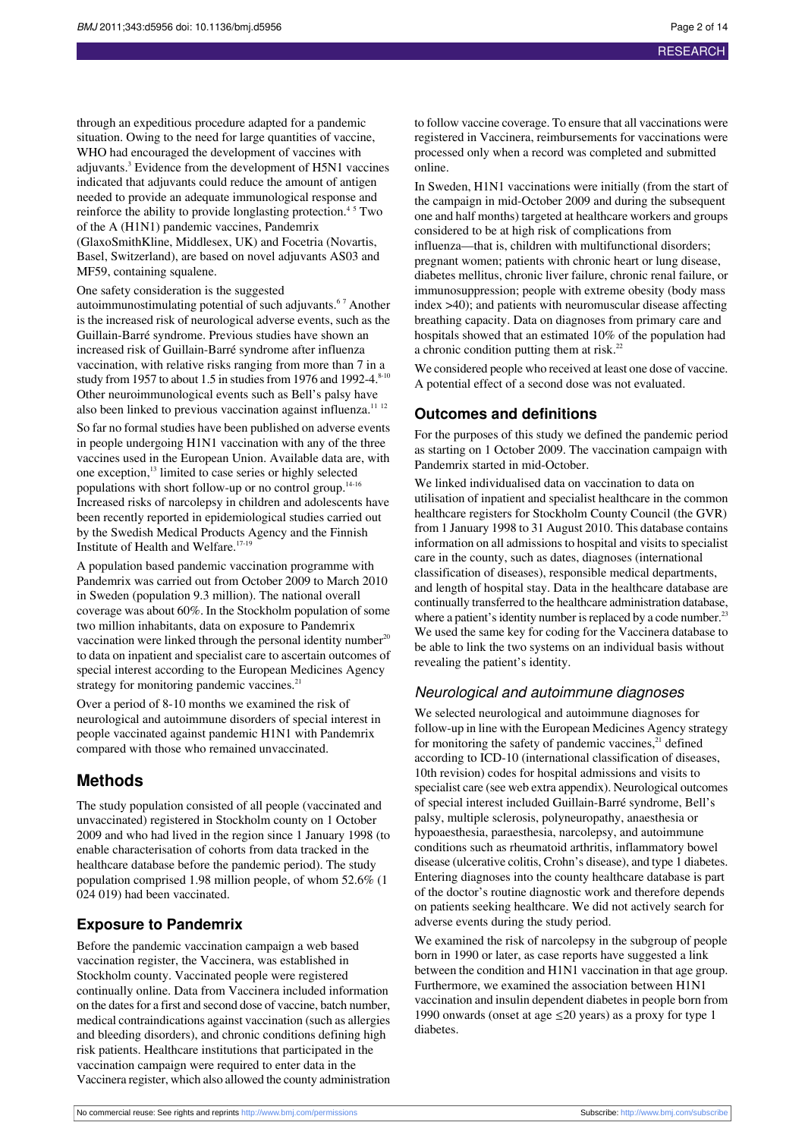through an expeditious procedure adapted for a pandemic situation. Owing to the need for large quantities of vaccine, WHO had encouraged the development of vaccines with adjuvants.<sup>3</sup> Evidence from the development of H5N1 vaccines indicated that adjuvants could reduce the amount of antigen needed to provide an adequate immunological response and reinforce the ability to provide longlasting protection.<sup>45</sup> Two of the A (H1N1) pandemic vaccines, Pandemrix (GlaxoSmithKline, Middlesex, UK) and Focetria (Novartis, Basel, Switzerland), are based on novel adjuvants AS03 and MF59, containing squalene.

One safety consideration is the suggested

autoimmunostimulating potential of such adjuvants.<sup>67</sup> Another is the increased risk of neurological adverse events, such as the Guillain-Barré syndrome. Previous studies have shown an increased risk of Guillain-Barré syndrome after influenza vaccination, with relative risks ranging from more than 7 in a study from 1957 to about 1.5 in studies from 1976 and 1992-4. $8-10$ Other neuroimmunological events such as Bell's palsy have also been linked to previous vaccination against influenza.<sup>11</sup> <sup>12</sup>

So far no formal studies have been published on adverse events in people undergoing H1N1 vaccination with any of the three vaccines used in the European Union. Available data are, with one exception,<sup>13</sup> limited to case series or highly selected populations with short follow-up or no control group.14-16 Increased risks of narcolepsy in children and adolescents have been recently reported in epidemiological studies carried out by the Swedish Medical Products Agency and the Finnish Institute of Health and Welfare.17-19

A population based pandemic vaccination programme with Pandemrix was carried out from October 2009 to March 2010 in Sweden (population 9.3 million). The national overall coverage was about 60%. In the Stockholm population of some two million inhabitants, data on exposure to Pandemrix vaccination were linked through the personal identity number  $20$ to data on inpatient and specialist care to ascertain outcomes of special interest according to the European Medicines Agency strategy for monitoring pandemic vaccines.<sup>21</sup>

Over a period of 8-10 months we examined the risk of neurological and autoimmune disorders of special interest in people vaccinated against pandemic H1N1 with Pandemrix compared with those who remained unvaccinated.

## **Methods**

The study population consisted of all people (vaccinated and unvaccinated) registered in Stockholm county on 1 October 2009 and who had lived in the region since 1 January 1998 (to enable characterisation of cohorts from data tracked in the healthcare database before the pandemic period). The study population comprised 1.98 million people, of whom 52.6% (1 024 019) had been vaccinated.

#### **Exposure to Pandemrix**

Before the pandemic vaccination campaign a web based vaccination register, the Vaccinera, was established in Stockholm county. Vaccinated people were registered continually online. Data from Vaccinera included information on the dates for a first and second dose of vaccine, batch number, medical contraindications against vaccination (such as allergies and bleeding disorders), and chronic conditions defining high risk patients. Healthcare institutions that participated in the vaccination campaign were required to enter data in the Vaccinera register, which also allowed the county administration

to follow vaccine coverage. To ensure that all vaccinations were registered in Vaccinera, reimbursements for vaccinations were processed only when a record was completed and submitted online.

In Sweden, H1N1 vaccinations were initially (from the start of the campaign in mid-October 2009 and during the subsequent one and half months) targeted at healthcare workers and groups considered to be at high risk of complications from influenza—that is, children with multifunctional disorders; pregnant women; patients with chronic heart or lung disease, diabetes mellitus, chronic liver failure, chronic renal failure, or immunosuppression; people with extreme obesity (body mass index >40); and patients with neuromuscular disease affecting breathing capacity. Data on diagnoses from primary care and hospitals showed that an estimated 10% of the population had a chronic condition putting them at risk.<sup>22</sup>

We considered people who received at least one dose of vaccine. A potential effect of a second dose was not evaluated.

#### **Outcomes and definitions**

For the purposes of this study we defined the pandemic period as starting on 1 October 2009. The vaccination campaign with Pandemrix started in mid-October.

We linked individualised data on vaccination to data on utilisation of inpatient and specialist healthcare in the common healthcare registers for Stockholm County Council (the GVR) from 1 January 1998 to 31 August 2010. This database contains information on all admissions to hospital and visits to specialist care in the county, such as dates, diagnoses (international classification of diseases), responsible medical departments, and length of hospital stay. Data in the healthcare database are continually transferred to the healthcare administration database, where a patient's identity number is replaced by a code number.<sup>23</sup> We used the same key for coding for the Vaccinera database to be able to link the two systems on an individual basis without revealing the patient's identity.

#### Neurological and autoimmune diagnoses

We selected neurological and autoimmune diagnoses for follow-up in line with the European Medicines Agency strategy for monitoring the safety of pandemic vaccines, $^{21}$  defined according to ICD-10 (international classification of diseases, 10th revision) codes for hospital admissions and visits to specialist care (see web extra appendix). Neurological outcomes of special interest included Guillain-Barré syndrome, Bell's palsy, multiple sclerosis, polyneuropathy, anaesthesia or hypoaesthesia, paraesthesia, narcolepsy, and autoimmune conditions such as rheumatoid arthritis, inflammatory bowel disease (ulcerative colitis, Crohn's disease), and type 1 diabetes. Entering diagnoses into the county healthcare database is part of the doctor's routine diagnostic work and therefore depends on patients seeking healthcare. We did not actively search for adverse events during the study period.

We examined the risk of narcolepsy in the subgroup of people born in 1990 or later, as case reports have suggested a link between the condition and H1N1 vaccination in that age group. Furthermore, we examined the association between H1N1 vaccination and insulin dependent diabetes in people born from 1990 onwards (onset at age  $\leq$ 20 years) as a proxy for type 1 diabetes.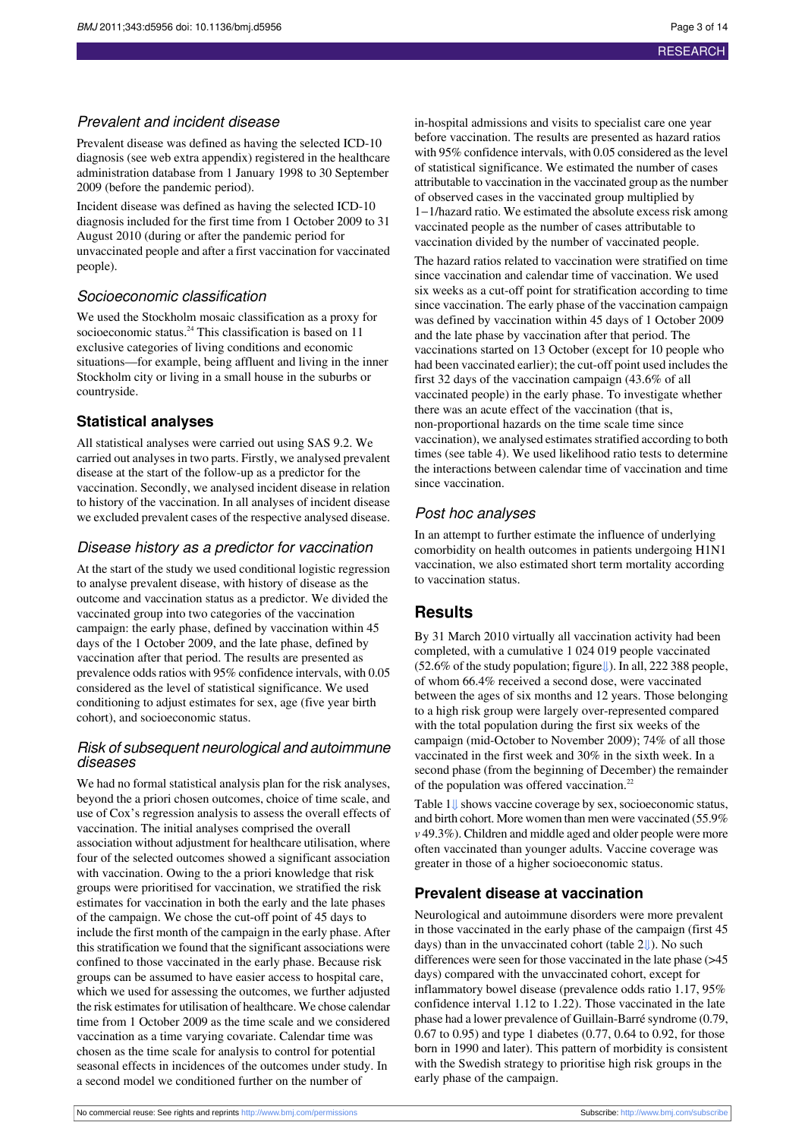## Prevalent and incident disease

Prevalent disease was defined as having the selected ICD-10 diagnosis (see web extra appendix) registered in the healthcare administration database from 1 January 1998 to 30 September 2009 (before the pandemic period).

Incident disease was defined as having the selected ICD-10 diagnosis included for the first time from 1 October 2009 to 31 August 2010 (during or after the pandemic period for unvaccinated people and after a first vaccination for vaccinated people).

## Socioeconomic classification

We used the Stockholm mosaic classification as a proxy for socioeconomic status.<sup>24</sup> This classification is based on 11 exclusive categories of living conditions and economic situations—for example, being affluent and living in the inner Stockholm city or living in a small house in the suburbs or countryside.

## **Statistical analyses**

All statistical analyses were carried out using SAS 9.2. We carried out analyses in two parts. Firstly, we analysed prevalent disease at the start of the follow-up as a predictor for the vaccination. Secondly, we analysed incident disease in relation to history of the vaccination. In all analyses of incident disease we excluded prevalent cases of the respective analysed disease.

## Disease history as a predictor for vaccination

At the start of the study we used conditional logistic regression to analyse prevalent disease, with history of disease as the outcome and vaccination status as a predictor. We divided the vaccinated group into two categories of the vaccination campaign: the early phase, defined by vaccination within 45 days of the 1 October 2009, and the late phase, defined by vaccination after that period. The results are presented as prevalence odds ratios with 95% confidence intervals, with 0.05 considered as the level of statistical significance. We used conditioning to adjust estimates for sex, age (five year birth cohort), and socioeconomic status.

## Risk of subsequent neurological and autoimmune diseases

We had no formal statistical analysis plan for the risk analyses, beyond the a priori chosen outcomes, choice of time scale, and use of Cox's regression analysis to assess the overall effects of vaccination. The initial analyses comprised the overall association without adjustment for healthcare utilisation, where four of the selected outcomes showed a significant association with vaccination. Owing to the a priori knowledge that risk groups were prioritised for vaccination, we stratified the risk estimates for vaccination in both the early and the late phases of the campaign. We chose the cut-off point of 45 days to include the first month of the campaign in the early phase. After this stratification we found that the significant associations were confined to those vaccinated in the early phase. Because risk groups can be assumed to have easier access to hospital care, which we used for assessing the outcomes, we further adjusted the risk estimates for utilisation of healthcare. We chose calendar time from 1 October 2009 as the time scale and we considered vaccination as a time varying covariate. Calendar time was chosen as the time scale for analysis to control for potential seasonal effects in incidences of the outcomes under study. In a second model we conditioned further on the number of

in-hospital admissions and visits to specialist care one year before vaccination. The results are presented as hazard ratios with 95% confidence intervals, with 0.05 considered as the level of statistical significance. We estimated the number of cases attributable to vaccination in the vaccinated group asthe number of observed cases in the vaccinated group multiplied by 1−1/hazard ratio. We estimated the absolute excess risk among vaccinated people as the number of cases attributable to vaccination divided by the number of vaccinated people. The hazard ratios related to vaccination were stratified on time since vaccination and calendar time of vaccination. We used six weeks as a cut-off point for stratification according to time since vaccination. The early phase of the vaccination campaign was defined by vaccination within 45 days of 1 October 2009 and the late phase by vaccination after that period. The vaccinations started on 13 October (except for 10 people who had been vaccinated earlier); the cut-off point used includes the first 32 days of the vaccination campaign (43.6% of all vaccinated people) in the early phase. To investigate whether there was an acute effect of the vaccination (that is, non-proportional hazards on the time scale time since vaccination), we analysed estimates stratified according to both times (see table 4). We used likelihood ratio tests to determine the interactions between calendar time of vaccination and time

## Post hoc analyses

since vaccination.

In an attempt to further estimate the influence of underlying comorbidity on health outcomes in patients undergoing H1N1 vaccination, we also estimated short term mortality according to vaccination status.

## **Results**

By 31 March 2010 virtually all vaccination activity had been completed, with a cumulative 1 024 019 people vaccinated (52.6% of the study population; figur[e⇓](#page-13-0)). In all, 222 388 people, of whom 66.4% received a second dose, were vaccinated between the ages of six months and 12 years. Those belonging to a high risk group were largely over-represented compared with the total population during the first six weeks of the campaign (mid-October to November 2009); 74% of all those vaccinated in the first week and 30% in the sixth week. In a second phase (from the beginning of December) the remainder of the population was offered vaccination.<sup>22</sup>

Table  $1 \cup$  shows vaccine coverage by sex, socioeconomic status, and birth cohort. More women than men were vaccinated (55.9% *v* 49.3%). Children and middle aged and older people were more often vaccinated than younger adults. Vaccine coverage was greater in those of a higher socioeconomic status.

## **Prevalent disease at vaccination**

Neurological and autoimmune disorders were more prevalent in those vaccinated in the early phase of the campaign (first 45 days) than in the unvaccinated cohort (table [2⇓](#page-8-0)). No such differences were seen for those vaccinated in the late phase ( $>45$ ) days) compared with the unvaccinated cohort, except for inflammatory bowel disease (prevalence odds ratio 1.17, 95% confidence interval 1.12 to 1.22). Those vaccinated in the late phase had a lower prevalence of Guillain-Barré syndrome (0.79, 0.67 to 0.95) and type 1 diabetes (0.77, 0.64 to 0.92, for those born in 1990 and later). This pattern of morbidity is consistent with the Swedish strategy to prioritise high risk groups in the early phase of the campaign.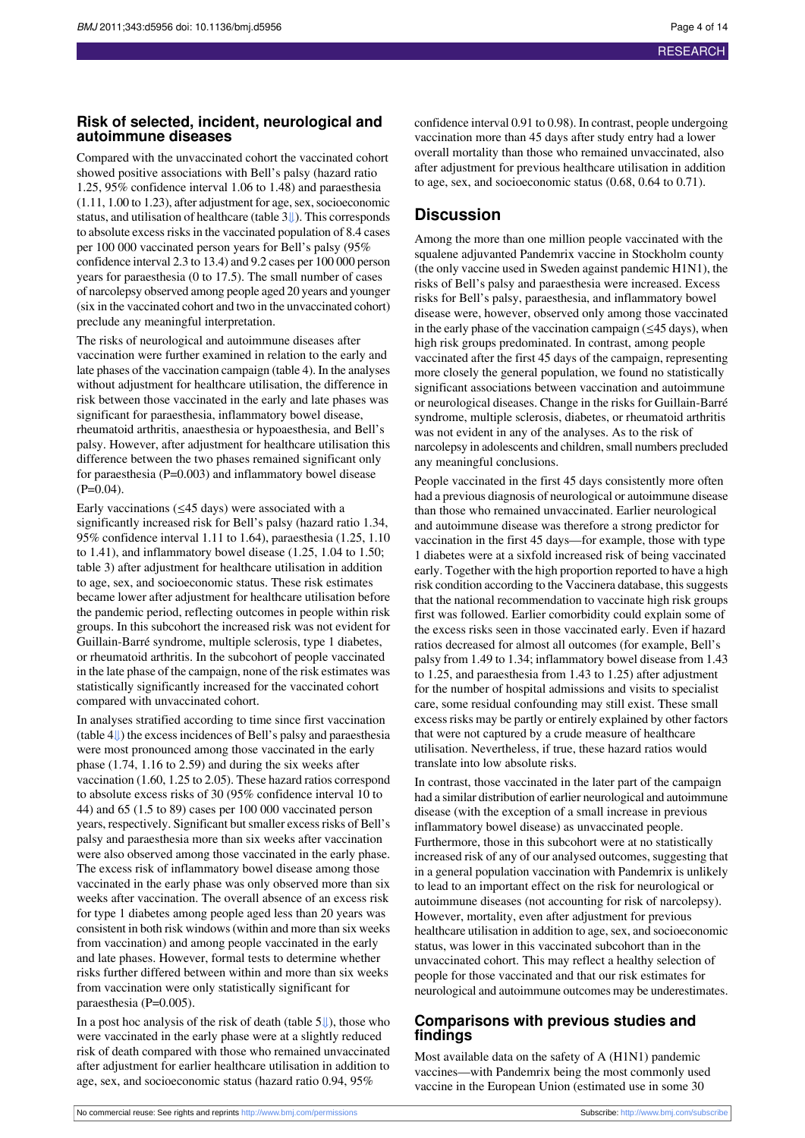#### **Risk of selected, incident, neurological and autoimmune diseases**

Compared with the unvaccinated cohort the vaccinated cohort showed positive associations with Bell's palsy (hazard ratio 1.25, 95% confidence interval 1.06 to 1.48) and paraesthesia  $(1.11, 1.00 \text{ to } 1.23)$ , after adjustment for age, sex, socioeconomic status, and utilisation of healthcare (table [3⇓](#page-9-0)). This corresponds to absolute excess risks in the vaccinated population of 8.4 cases per 100 000 vaccinated person years for Bell's palsy (95% confidence interval 2.3 to 13.4) and 9.2 cases per 100 000 person years for paraesthesia (0 to 17.5). The small number of cases of narcolepsy observed among people aged 20 years and younger (six in the vaccinated cohort and two in the unvaccinated cohort) preclude any meaningful interpretation.

The risks of neurological and autoimmune diseases after vaccination were further examined in relation to the early and late phases of the vaccination campaign (table 4). In the analyses without adjustment for healthcare utilisation, the difference in risk between those vaccinated in the early and late phases was significant for paraesthesia, inflammatory bowel disease, rheumatoid arthritis, anaesthesia or hypoaesthesia, and Bell's palsy. However, after adjustment for healthcare utilisation this difference between the two phases remained significant only for paraesthesia (P=0.003) and inflammatory bowel disease  $(P=0.04)$ .

Early vaccinations ( $\leq$ 45 days) were associated with a significantly increased risk for Bell's palsy (hazard ratio 1.34, 95% confidence interval 1.11 to 1.64), paraesthesia (1.25, 1.10 to 1.41), and inflammatory bowel disease (1.25, 1.04 to 1.50; table 3) after adjustment for healthcare utilisation in addition to age, sex, and socioeconomic status. These risk estimates became lower after adjustment for healthcare utilisation before the pandemic period, reflecting outcomes in people within risk groups. In this subcohort the increased risk was not evident for Guillain-Barré syndrome, multiple sclerosis, type 1 diabetes, or rheumatoid arthritis. In the subcohort of people vaccinated in the late phase of the campaign, none of the risk estimates was statistically significantly increased for the vaccinated cohort compared with unvaccinated cohort.

In analyses stratified according to time since first vaccination (table [4⇓](#page-11-0)) the excessincidences of Bell's palsy and paraesthesia were most pronounced among those vaccinated in the early phase (1.74, 1.16 to 2.59) and during the six weeks after vaccination (1.60, 1.25 to 2.05). These hazard ratios correspond to absolute excess risks of 30 (95% confidence interval 10 to 44) and 65 (1.5 to 89) cases per 100 000 vaccinated person years, respectively. Significant but smaller excess risks of Bell's palsy and paraesthesia more than six weeks after vaccination were also observed among those vaccinated in the early phase. The excess risk of inflammatory bowel disease among those vaccinated in the early phase was only observed more than six weeks after vaccination. The overall absence of an excess risk for type 1 diabetes among people aged less than 20 years was consistent in both risk windows(within and more than six weeks from vaccination) and among people vaccinated in the early and late phases. However, formal tests to determine whether risks further differed between within and more than six weeks from vaccination were only statistically significant for paraesthesia (P=0.005).

In a post hoc analysis of the risk of death (table [5⇓](#page-12-0)), those who were vaccinated in the early phase were at a slightly reduced risk of death compared with those who remained unvaccinated after adjustment for earlier healthcare utilisation in addition to age, sex, and socioeconomic status (hazard ratio 0.94, 95%

confidence interval 0.91 to 0.98). In contrast, people undergoing vaccination more than 45 days after study entry had a lower overall mortality than those who remained unvaccinated, also after adjustment for previous healthcare utilisation in addition to age, sex, and socioeconomic status (0.68, 0.64 to 0.71).

#### **Discussion**

Among the more than one million people vaccinated with the squalene adjuvanted Pandemrix vaccine in Stockholm county (the only vaccine used in Sweden against pandemic H1N1), the risks of Bell's palsy and paraesthesia were increased. Excess risks for Bell's palsy, paraesthesia, and inflammatory bowel disease were, however, observed only among those vaccinated in the early phase of the vaccination campaign  $(\leq 45 \text{ days})$ , when high risk groups predominated. In contrast, among people vaccinated after the first 45 days of the campaign, representing more closely the general population, we found no statistically significant associations between vaccination and autoimmune or neurological diseases. Change in the risks for Guillain-Barré syndrome, multiple sclerosis, diabetes, or rheumatoid arthritis was not evident in any of the analyses. As to the risk of narcolepsy in adolescents and children, small numbers precluded any meaningful conclusions.

People vaccinated in the first 45 days consistently more often had a previous diagnosis of neurological or autoimmune disease than those who remained unvaccinated. Earlier neurological and autoimmune disease was therefore a strong predictor for vaccination in the first 45 days—for example, those with type 1 diabetes were at a sixfold increased risk of being vaccinated early. Together with the high proportion reported to have a high risk condition according to the Vaccinera database, this suggests that the national recommendation to vaccinate high risk groups first was followed. Earlier comorbidity could explain some of the excess risks seen in those vaccinated early. Even if hazard ratios decreased for almost all outcomes (for example, Bell's palsy from 1.49 to 1.34; inflammatory bowel disease from 1.43 to 1.25, and paraesthesia from 1.43 to 1.25) after adjustment for the number of hospital admissions and visits to specialist care, some residual confounding may still exist. These small excess risks may be partly or entirely explained by other factors that were not captured by a crude measure of healthcare utilisation. Nevertheless, if true, these hazard ratios would translate into low absolute risks.

In contrast, those vaccinated in the later part of the campaign had a similar distribution of earlier neurological and autoimmune disease (with the exception of a small increase in previous inflammatory bowel disease) as unvaccinated people. Furthermore, those in this subcohort were at no statistically increased risk of any of our analysed outcomes, suggesting that in a general population vaccination with Pandemrix is unlikely to lead to an important effect on the risk for neurological or autoimmune diseases (not accounting for risk of narcolepsy). However, mortality, even after adjustment for previous healthcare utilisation in addition to age, sex, and socioeconomic status, was lower in this vaccinated subcohort than in the unvaccinated cohort. This may reflect a healthy selection of people for those vaccinated and that our risk estimates for neurological and autoimmune outcomes may be underestimates.

#### **Comparisons with previous studies and findings**

Most available data on the safety of A (H1N1) pandemic vaccines—with Pandemrix being the most commonly used vaccine in the European Union (estimated use in some 30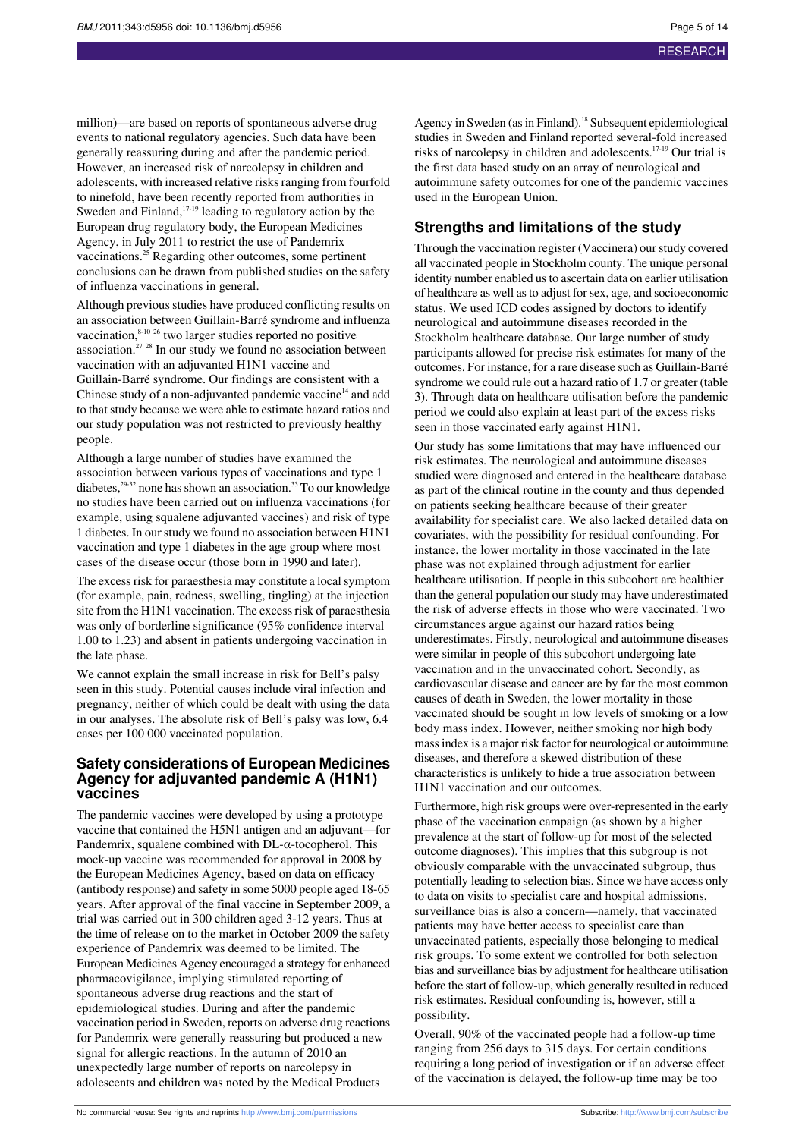million)—are based on reports of spontaneous adverse drug events to national regulatory agencies. Such data have been generally reassuring during and after the pandemic period. However, an increased risk of narcolepsy in children and adolescents, with increased relative risks ranging from fourfold to ninefold, have been recently reported from authorities in Sweden and Finland, $17-19$  leading to regulatory action by the European drug regulatory body, the European Medicines Agency, in July 2011 to restrict the use of Pandemrix vaccinations.<sup>25</sup> Regarding other outcomes, some pertinent conclusions can be drawn from published studies on the safety of influenza vaccinations in general.

Although previous studies have produced conflicting results on an association between Guillain-Barré syndrome and influenza vaccination,<sup>8-10 26</sup> two larger studies reported no positive association.<sup>27 28</sup> In our study we found no association between vaccination with an adjuvanted H1N1 vaccine and Guillain-Barré syndrome. Our findings are consistent with a Chinese study of a non-adjuvanted pandemic vaccine $14$  and add to that study because we were able to estimate hazard ratios and our study population was not restricted to previously healthy people.

Although a large number of studies have examined the association between various types of vaccinations and type 1 diabetes,<sup>29-32</sup> none has shown an association.<sup>33</sup> To our knowledge no studies have been carried out on influenza vaccinations (for example, using squalene adjuvanted vaccines) and risk of type 1 diabetes. In ourstudy we found no association between H1N1 vaccination and type 1 diabetes in the age group where most cases of the disease occur (those born in 1990 and later).

The excess risk for paraesthesia may constitute a local symptom (for example, pain, redness, swelling, tingling) at the injection site from the H1N1 vaccination. The excess risk of paraesthesia was only of borderline significance (95% confidence interval 1.00 to 1.23) and absent in patients undergoing vaccination in the late phase.

We cannot explain the small increase in risk for Bell's palsy seen in this study. Potential causes include viral infection and pregnancy, neither of which could be dealt with using the data in our analyses. The absolute risk of Bell's palsy was low, 6.4 cases per 100 000 vaccinated population.

#### **Safety considerations of European Medicines Agency for adjuvanted pandemic A (H1N1) vaccines**

The pandemic vaccines were developed by using a prototype vaccine that contained the H5N1 antigen and an adjuvant—for Pandemrix, squalene combined with  $DL$ - $\alpha$ -tocopherol. This mock-up vaccine was recommended for approval in 2008 by the European Medicines Agency, based on data on efficacy (antibody response) and safety in some 5000 people aged 18-65 years. After approval of the final vaccine in September 2009, a trial was carried out in 300 children aged 3-12 years. Thus at the time of release on to the market in October 2009 the safety experience of Pandemrix was deemed to be limited. The European Medicines Agency encouraged a strategy for enhanced pharmacovigilance, implying stimulated reporting of spontaneous adverse drug reactions and the start of epidemiological studies. During and after the pandemic vaccination period in Sweden, reports on adverse drug reactions for Pandemrix were generally reassuring but produced a new signal for allergic reactions. In the autumn of 2010 an unexpectedly large number of reports on narcolepsy in adolescents and children was noted by the Medical Products

Agency in Sweden (as in Finland).<sup>18</sup> Subsequent epidemiological studies in Sweden and Finland reported several-fold increased risks of narcolepsy in children and adolescents.17-19 Our trial is the first data based study on an array of neurological and autoimmune safety outcomes for one of the pandemic vaccines used in the European Union.

#### **Strengths and limitations of the study**

Through the vaccination register (Vaccinera) ourstudy covered all vaccinated people in Stockholm county. The unique personal identity number enabled us to ascertain data on earlier utilisation of healthcare as well asto adjust forsex, age, and socioeconomic status. We used ICD codes assigned by doctors to identify neurological and autoimmune diseases recorded in the Stockholm healthcare database. Our large number of study participants allowed for precise risk estimates for many of the outcomes. For instance, for a rare disease such as Guillain-Barré syndrome we could rule out a hazard ratio of 1.7 or greater (table 3). Through data on healthcare utilisation before the pandemic period we could also explain at least part of the excess risks seen in those vaccinated early against H1N1.

Our study has some limitations that may have influenced our risk estimates. The neurological and autoimmune diseases studied were diagnosed and entered in the healthcare database as part of the clinical routine in the county and thus depended on patients seeking healthcare because of their greater availability for specialist care. We also lacked detailed data on covariates, with the possibility for residual confounding. For instance, the lower mortality in those vaccinated in the late phase was not explained through adjustment for earlier healthcare utilisation. If people in this subcohort are healthier than the general population our study may have underestimated the risk of adverse effects in those who were vaccinated. Two circumstances argue against our hazard ratios being underestimates. Firstly, neurological and autoimmune diseases were similar in people of this subcohort undergoing late vaccination and in the unvaccinated cohort. Secondly, as cardiovascular disease and cancer are by far the most common causes of death in Sweden, the lower mortality in those vaccinated should be sought in low levels of smoking or a low body mass index. However, neither smoking nor high body massindex is a major risk factor for neurological or autoimmune diseases, and therefore a skewed distribution of these characteristics is unlikely to hide a true association between H1N1 vaccination and our outcomes.

Furthermore, high risk groups were over-represented in the early phase of the vaccination campaign (as shown by a higher prevalence at the start of follow-up for most of the selected outcome diagnoses). This implies that this subgroup is not obviously comparable with the unvaccinated subgroup, thus potentially leading to selection bias. Since we have access only to data on visits to specialist care and hospital admissions, surveillance bias is also a concern—namely, that vaccinated patients may have better access to specialist care than unvaccinated patients, especially those belonging to medical risk groups. To some extent we controlled for both selection bias and surveillance bias by adjustment for healthcare utilisation before the start of follow-up, which generally resulted in reduced risk estimates. Residual confounding is, however, still a possibility.

Overall, 90% of the vaccinated people had a follow-up time ranging from 256 days to 315 days. For certain conditions requiring a long period of investigation or if an adverse effect of the vaccination is delayed, the follow-up time may be too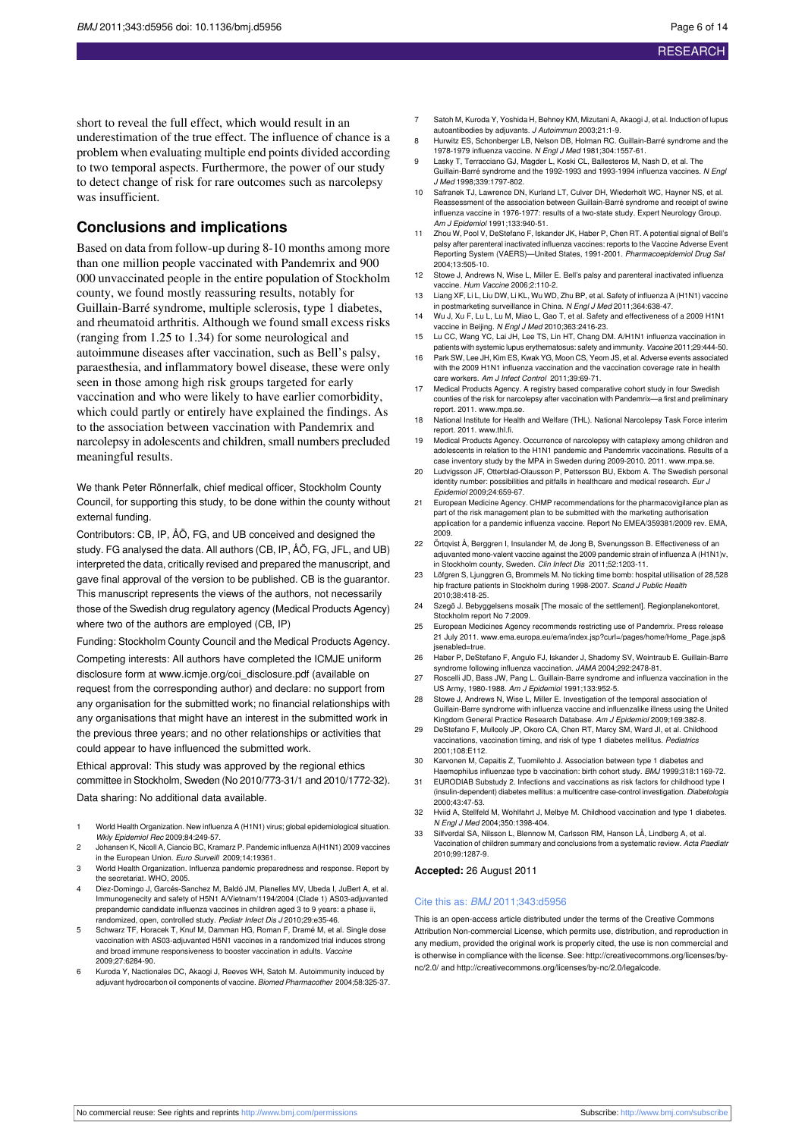short to reveal the full effect, which would result in an underestimation of the true effect. The influence of chance is a problem when evaluating multiple end points divided according to two temporal aspects. Furthermore, the power of our study to detect change of risk for rare outcomes such as narcolepsy was insufficient.

## **Conclusions and implications**

Based on data from follow-up during 8-10 months among more than one million people vaccinated with Pandemrix and 900 000 unvaccinated people in the entire population of Stockholm county, we found mostly reassuring results, notably for Guillain-Barré syndrome, multiple sclerosis, type 1 diabetes, and rheumatoid arthritis. Although we found small excess risks (ranging from 1.25 to 1.34) for some neurological and autoimmune diseases after vaccination, such as Bell's palsy, paraesthesia, and inflammatory bowel disease, these were only seen in those among high risk groups targeted for early vaccination and who were likely to have earlier comorbidity, which could partly or entirely have explained the findings. As to the association between vaccination with Pandemrix and narcolepsy in adolescents and children, small numbers precluded meaningful results.

We thank Peter Rönnerfalk, chief medical officer, Stockholm County Council, for supporting this study, to be done within the county without external funding.

Contributors: CB, IP, ÅÖ, FG, and UB conceived and designed the study. FG analysed the data. All authors (CB, IP, ÅÖ, FG, JFL, and UB) interpreted the data, critically revised and prepared the manuscript, and gave final approval of the version to be published. CB is the guarantor. This manuscript represents the views of the authors, not necessarily those of the Swedish drug regulatory agency (Medical Products Agency) where two of the authors are employed (CB, IP)

Funding: Stockholm County Council and the Medical Products Agency. Competing interests: All authors have completed the ICMJE uniform disclosure form at [www.icmje.org/coi\\_disclosure.pdf](http://www.icmje.org/coi_disclosure.pdf) (available on request from the corresponding author) and declare: no support from any organisation for the submitted work; no financial relationships with any organisations that might have an interest in the submitted work in the previous three years; and no other relationships or activities that could appear to have influenced the submitted work.

Ethical approval: This study was approved by the regional ethics committee in Stockholm, Sweden (No 2010/773-31/1 and 2010/1772-32). Data sharing: No additional data available.

- 1 World Health Organization. New influenza A (H1N1) virus; global epidemiological situation. Wkly Epidemiol Rec 2009;84:249-57.
- 2 Johansen K, Nicoll A, Ciancio BC, Kramarz P. Pandemic influenza A(H1N1) 2009 vaccines in the European Union. Euro Surveill 2009;14:19361.
- 3 World Health Organization. Influenza pandemic preparedness and response. Report by the secretariat. WHO, 2005.
- 4 Diez-Domingo J, Garcés-Sanchez M, Baldó JM, Planelles MV, Ubeda I, JuBert A, et al. Immunogenecity and safety of H5N1 A/Vietnam/1194/2004 (Clade 1) AS03-adjuvanted prepandemic candidate influenza vaccines in children aged 3 to 9 years: a phase ii, randomized, open, controlled study. Pediatr Infect Dis J 2010;29:e35-46
- 5 Schwarz TF, Horacek T, Knuf M, Damman HG, Roman F, Dramé M, et al. Single dose vaccination with AS03-adjuvanted H5N1 vaccines in a randomized trial induces strong and broad immune responsiveness to booster vaccination in adults. Vaccine 2009;27:6284-90.
- 6 Kuroda Y, Nactionales DC, Akaogi J, Reeves WH, Satoh M. Autoimmunity induced by adjuvant hydrocarbon oil components of vaccine. Biomed Pharmacother 2004;58:325-37.
- 7 Satoh M, Kuroda Y, Yoshida H, Behney KM, Mizutani A, Akaogi J, et al. Induction of lupus autoantibodies by adjuvants. J Autoimmun 2003;21:1-9.
- 8 Hurwitz ES, Schonberger LB, Nelson DB, Holman RC. Guillain-Barré syndrome and the 1978-1979 influenza vaccine. N Engl J Med 1981;304:1557-61.
- 9 Lasky T, Terracciano GJ, Magder L, Koski CL, Ballesteros M, Nash D, et al. The Guillain-Barré syndrome and the 1992-1993 and 1993-1994 influenza vaccines. N Engl J Med 1998;339:1797-802.
- 10 Safranek TJ, Lawrence DN, Kurland LT, Culver DH, Wiederholt WC, Hayner NS, et al. Reassessment of the association between Guillain-Barré syndrome and receipt of swine influenza vaccine in 1976-1977: results of a two-state study. Expert Neurology Group. Am J Epidemiol 1991;133:940-51.
- 11 Zhou W, Pool V, DeStefano F, Iskander JK, Haber P, Chen RT, A potential signal of Bell's palsy after parenteral inactivated influenza vaccines: reports to the Vaccine Adverse Event Reporting System (VAERS)—United States, 1991-2001. Pharmacoepidemiol Drug Saf 2004;13:505-10.
- 12 Stowe J, Andrews N, Wise L, Miller E. Bell's palsy and parenteral inactivated influenza vaccine. Hum Vaccine 2006;2:110-2.
- 13 Liang XF, Li L, Liu DW, Li KL, Wu WD, Zhu BP, et al. Safety of influenza A (H1N1) vaccine in postmarketing surveillance in China. N Engl J Med 2011;364:638-47.
- 14 Wu J, Xu F, Lu L, Lu M, Miao L, Gao T, et al. Safety and effectiveness of a 2009 H1N1 vaccine in Beijing. N Engl J Med 2010;363:2416-23. 15 Lu CC, Wang YC, Lai JH, Lee TS, Lin HT, Chang DM. A/H1N1 influenza vaccination in
- atients with systemic lupus erythematosus: safety and immunity. Vaccine 2011;29:444-50. 16 Park SW, Lee JH, Kim ES, Kwak YG, Moon CS, Yeom JS, et al. Adverse events associated
- with the 2009 H1N1 influenza vaccination and the vaccination coverage rate in health care workers. Am J Infect Control 2011;39:69-71.
- 17 Medical Products Agency. A registry based comparative cohort study in four Swedish counties of the risk for narcolepsy after vaccination with Pandemrix—a first and preliminary report. 2011. [www.mpa.se](http://www.mpa.se).
- 18 National Institute for Health and Welfare (THL). National Narcolepsy Task Force interim report. 2011. [www.thl.fi](http://www.thl.fi).
- 19 Medical Products Agency. Occurrence of narcolepsy with cataplexy among children and adolescents in relation to the H1N1 pandemic and Pandemrix vaccinations. Results of a case inventory study by the MPA in Sweden during 2009-2010. 2011. [www.mpa.se](http://www.mpa.se).
- 20 Ludvigsson JF, Otterblad-Olausson P, Pettersson BU, Ekbom A. The Swedish personal identity number: possibilities and pitfalls in healthcare and medical research. Eur J Epidemiol 2009;24:659-67.
- 21 European Medicine Agency. CHMP recommendations for the pharmacovigilance plan as part of the risk management plan to be submitted with the marketing authorisation application for a pandemic influenza vaccine. Report No EMEA/359381/2009 rev. EMA, 2009.
- 22 Örtgyist Å, Berggren L. Insulander M, de Jong B, Svenungsson B, Effectiveness of an adjuvanted mono-valent vaccine against the 2009 pandemic strain of influenza A (H1N1)v, in Stockholm county, Sweden. Clin Infect Dis 2011;52:1203-11.
- 23 Löfgren S, Ljunggren G, Brommels M. No ticking time bomb: hospital utilisation of 28,528 hip fracture patients in Stockholm during 1998-2007. Scand J Public Health 2010;38:418-25.
- 24 Szegö J. Bebyggelsens mosaik [The mosaic of the settlement]. Regionplan Stockholm report No 7:2009.
- 25 European Medicines Agency recommends restricting use of Pandemrix. Press release 21 July 2011. [www.ema.europa.eu/ema/index.jsp?curl=/pages/home/Home\\_Page.jsp&](http://www.ema.europa.eu/ema/index.jsp?curl=/pages/home/Home_Page.jsp&jsenabled=true) [jsenabled=true.](http://www.ema.europa.eu/ema/index.jsp?curl=/pages/home/Home_Page.jsp&jsenabled=true)
- 26 Haber P, DeStefano F, Angulo FJ, Iskander J, Shadomy SV, Weintraub E. Guillain-Barre syndrome following influenza vaccination. JAMA 2004;292:2478-81.
- 27 Roscelli JD, Bass JW, Pang L. Guillain-Barre syndrome and influenza vaccination in the US Army, 1980-1988. Am J Epidemiol 1991;133:952-5.
- 28 Stowe J, Andrews N, Wise L, Miller E. Investigation of the temporal association of Guillain-Barre syndrome with influenza vaccine and influenzalike illness using the United Kingdom General Practice Research Database. Am J Epidemiol 2009;169:382-8.
- 29 DeStefano F, Mullooly JP, Okoro CA, Chen RT, Marcy SM, Ward JI, et al. Childhood vaccinations, vaccination timing, and risk of type 1 diabetes mellitus. Pediatrics 2001;108:E112.
- 30 Karvonen M, Cepaitis Z, Tuomilehto J. Association between type 1 diabetes and
- Haemophilus influenzae type b vaccination: birth cohort study. BMJ 1999;318:1169-72. 31 EURODIAB Substudy 2. Infections and vaccinations as risk factors for childhood type I (insulin-dependent) diabetes mellitus: a multicentre case-control investigation. Diabetologia 2000;43:47-53.
- 32 Hviid A, Stellfeld M, Wohlfahrt J, Melbye M. Childhood vaccination and type 1 diabetes. N Engl J Med 2004;350:1398-404.
- 33 Silfverdal SA, Nilsson L, Blennow M, Carlsson RM, Hanson LÅ, Lindberg A, et al. Vaccination of children summary and conclusions from a systematic review. Acta Paediatr 2010;99:1287-9.

#### **Accepted:** 26 August 2011

#### Cite this as: BMJ 2011;343:d5956

This is an open-access article distributed under the terms of the Creative Commons Attribution Non-commercial License, which permits use, distribution, and reproduction in any medium, provided the original work is properly cited, the use is non commercial and is otherwise in compliance with the license. See: [http://creativecommons.org/licenses/by](http://creativecommons.org/licenses/by-nc/2.0/)[nc/2.0/](http://creativecommons.org/licenses/by-nc/2.0/) and <http://creativecommons.org/licenses/by-nc/2.0/legalcode>.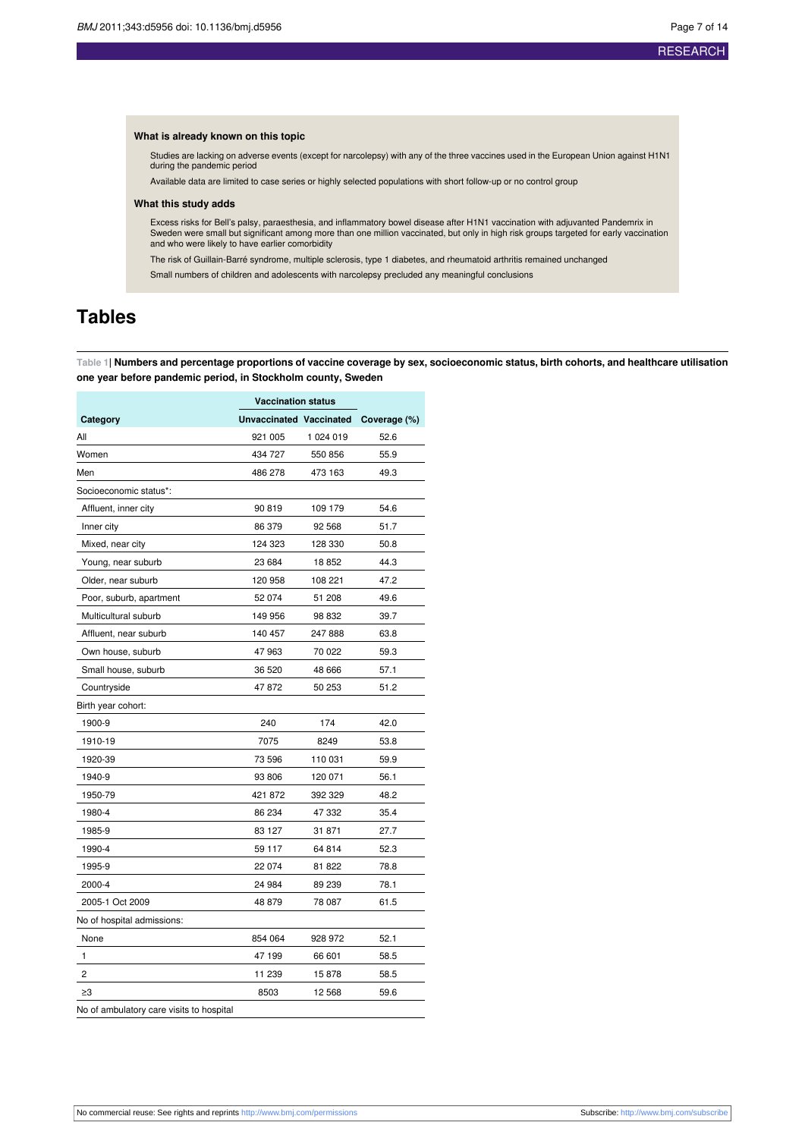#### **What is already known on this topic**

Studies are lacking on adverse events (except for narcolepsy) with any of the three vaccines used in the European Union against H1N1 during the pandemic period

Available data are limited to case series or highly selected populations with short follow-up or no control group

#### **What this study adds**

Excess risks for Bell's palsy, paraesthesia, and inflammatory bowel disease after H1N1 vaccination with adjuvanted Pandemrix in<br>Sweden were small but significant among more than one million vaccinated, but only in high ris

The risk of Guillain-Barré syndrome, multiple sclerosis, type 1 diabetes, and rheumatoid arthritis remained unchanged

Small numbers of children and adolescents with narcolepsy precluded any meaningful conclusions

## <span id="page-6-0"></span>**Tables**

Table 1| Numbers and percentage proportions of vaccine coverage by sex, socioeconomic status, birth cohorts, and healthcare utilisation **one year before pandemic period, in Stockholm county, Sweden**

|                            | <b>Vaccination status</b> |                                      |      |  |
|----------------------------|---------------------------|--------------------------------------|------|--|
| Category                   |                           | Unvaccinated Vaccinated Coverage (%) |      |  |
| All                        | 921 005                   | 1 024 019                            | 52.6 |  |
| Women                      | 434 727                   | 550 856                              | 55.9 |  |
| Men                        | 486 278                   | 473 163                              | 49.3 |  |
| Socioeconomic status*:     |                           |                                      |      |  |
| Affluent, inner city       | 90819                     | 109 179                              | 54.6 |  |
| Inner city                 | 86 379                    | 92 568                               | 51.7 |  |
| Mixed, near city           | 124 323                   | 128 330                              | 50.8 |  |
| Young, near suburb         | 23 684                    | 18852                                | 44.3 |  |
| Older, near suburb         | 120 958                   | 108 221                              | 47.2 |  |
| Poor, suburb, apartment    | 52 074                    | 51 208                               | 49.6 |  |
| Multicultural suburb       | 149 956                   | 98 832                               | 39.7 |  |
| Affluent, near suburb      | 140 457                   | 247 888                              | 63.8 |  |
| Own house, suburb          | 47 963                    | 70 022                               | 59.3 |  |
| Small house, suburb        | 36 520                    | 48 666                               | 57.1 |  |
| Countryside                | 47872                     | 50 253                               | 51.2 |  |
| Birth year cohort:         |                           |                                      |      |  |
| 1900-9                     | 240                       | 174                                  | 42.0 |  |
| 1910-19                    | 7075                      | 8249                                 | 53.8 |  |
| 1920-39                    | 73 596                    | 110 031                              | 59.9 |  |
| 1940-9                     | 93 806                    | 120 071                              | 56.1 |  |
| 1950-79                    | 421 872                   | 392 329                              | 48.2 |  |
| 1980-4                     | 86 234                    | 47 332                               | 35.4 |  |
| 1985-9                     | 83 127                    | 31 871                               | 27.7 |  |
| 1990-4                     | 59 117                    | 64 814                               | 52.3 |  |
| 1995-9                     | 22 074                    | 81 822                               | 78.8 |  |
| 2000-4                     | 24 984                    | 89 239                               | 78.1 |  |
| 2005-1 Oct 2009            | 48 879                    | 78 087                               | 61.5 |  |
| No of hospital admissions: |                           |                                      |      |  |
| None                       | 854 064                   | 928 972                              | 52.1 |  |
| 1                          | 47 199                    | 66 601                               | 58.5 |  |
| 2                          | 11 239                    | 15878                                | 58.5 |  |
| ≥3                         | 8503                      | 12 5 68                              | 59.6 |  |

No of ambulatory care visits to hospital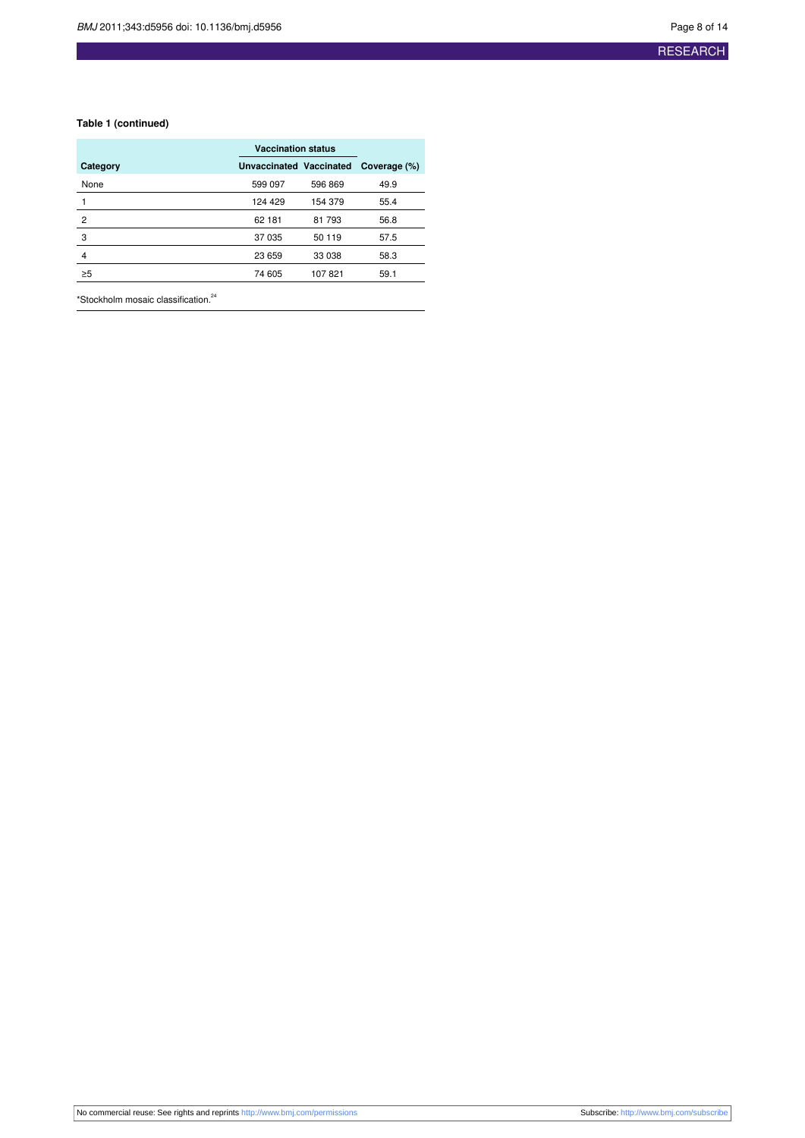#### **Table 1 (continued)**

|                | <b>Vaccination status</b> |         |              |
|----------------|---------------------------|---------|--------------|
| Category       | Unvaccinated Vaccinated   |         | Coverage (%) |
| None           | 599 097                   | 596 869 | 49.9         |
|                | 124 429                   | 154 379 | 55.4         |
| $\overline{2}$ | 62 181                    | 81 793  | 56.8         |
| 3              | 37 035                    | 50 119  | 57.5         |
| 4              | 23 659                    | 33 038  | 58.3         |
| $\geq 5$       | 74 605                    | 107821  | 59.1         |
|                |                           |         |              |

\*Stockholm mosaic classification.<sup>24</sup>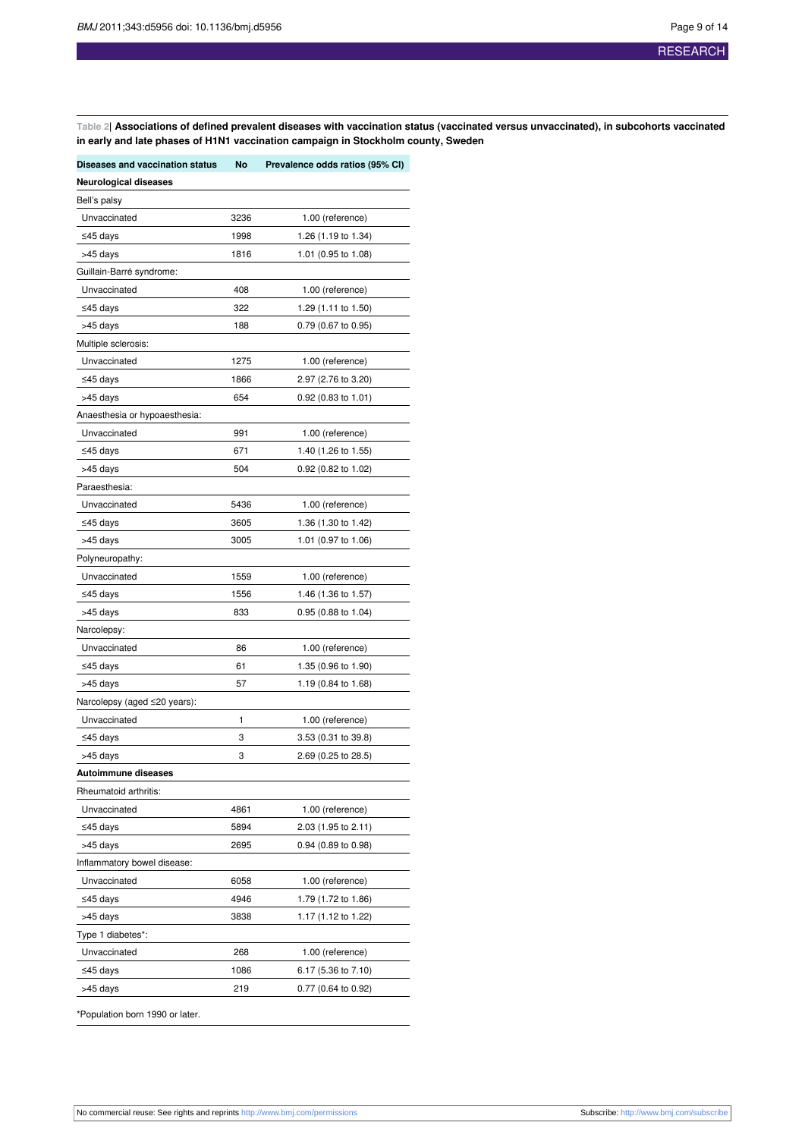<span id="page-8-0"></span>Table 2| Associations of defined prevalent diseases with vaccination status (vaccinated versus unvaccinated), in subcohorts vaccinated **in early and late phases of H1N1 vaccination campaign in Stockholm county, Sweden**

| Diseases and vaccination status | No   | Prevalence odds ratios (95% CI) |
|---------------------------------|------|---------------------------------|
| <b>Neurological diseases</b>    |      |                                 |
| Bell's palsy                    |      |                                 |
| Unvaccinated                    | 3236 | 1.00 (reference)                |
| ≤45 days                        | 1998 | 1.26 (1.19 to 1.34)             |
| >45 days                        | 1816 | 1.01 (0.95 to 1.08)             |
| Guillain-Barré syndrome:        |      |                                 |
| Unvaccinated                    | 408  | 1.00 (reference)                |
| ≤45 days                        | 322  | 1.29 (1.11 to 1.50)             |
| >45 days                        | 188  | 0.79 (0.67 to 0.95)             |
| Multiple sclerosis:             |      |                                 |
| Unvaccinated                    | 1275 | 1.00 (reference)                |
| ≤45 days                        | 1866 | 2.97 (2.76 to 3.20)             |
| >45 days                        | 654  | 0.92 (0.83 to 1.01)             |
| Anaesthesia or hypoaesthesia:   |      |                                 |
| Unvaccinated                    | 991  | 1.00 (reference)                |
| ≤45 days                        | 671  | 1.40 (1.26 to 1.55)             |
| >45 days                        | 504  | 0.92 (0.82 to 1.02)             |
| Paraesthesia:                   |      |                                 |
| Unvaccinated                    | 5436 | 1.00 (reference)                |
| ≤45 days                        | 3605 | 1.36 (1.30 to 1.42)             |
| >45 days                        | 3005 | 1.01 (0.97 to 1.06)             |
| Polyneuropathy:                 |      |                                 |
| Unvaccinated                    | 1559 | 1.00 (reference)                |
| ≤45 days                        | 1556 | 1.46 (1.36 to 1.57)             |
| >45 days                        | 833  | 0.95 (0.88 to 1.04)             |
| Narcolepsy:                     |      |                                 |
| Unvaccinated                    | 86   | 1.00 (reference)                |
| ≤45 days                        | 61   | 1.35 (0.96 to 1.90)             |
| >45 days                        | 57   | 1.19 (0.84 to 1.68)             |
| Narcolepsy (aged ≤20 years):    |      |                                 |
| Unvaccinated                    | 1    | 1.00 (reference)                |
| ≤45 days                        | 3    | 3.53 (0.31 to 39.8)             |
| >45 days                        | 3    | 2.69 (0.25 to 28.5)             |
| Autoimmune diseases             |      |                                 |
| Rheumatoid arthritis:           |      |                                 |
| Unvaccinated                    | 4861 | 1.00 (reference)                |
| $≤45$ days                      | 5894 | 2.03 (1.95 to 2.11)             |
| >45 days                        | 2695 | 0.94 (0.89 to 0.98)             |
| Inflammatory bowel disease:     |      |                                 |
| Unvaccinated                    | 6058 | 1.00 (reference)                |
| ≤45 days                        | 4946 | 1.79 (1.72 to 1.86)             |
| >45 days                        | 3838 | 1.17 (1.12 to 1.22)             |
| Type 1 diabetes*:               |      |                                 |
| Unvaccinated                    | 268  | 1.00 (reference)                |
| ≤45 days                        | 1086 | 6.17 (5.36 to 7.10)             |
| >45 days                        | 219  | 0.77 (0.64 to 0.92)             |
| *Population born 1990 or later. |      |                                 |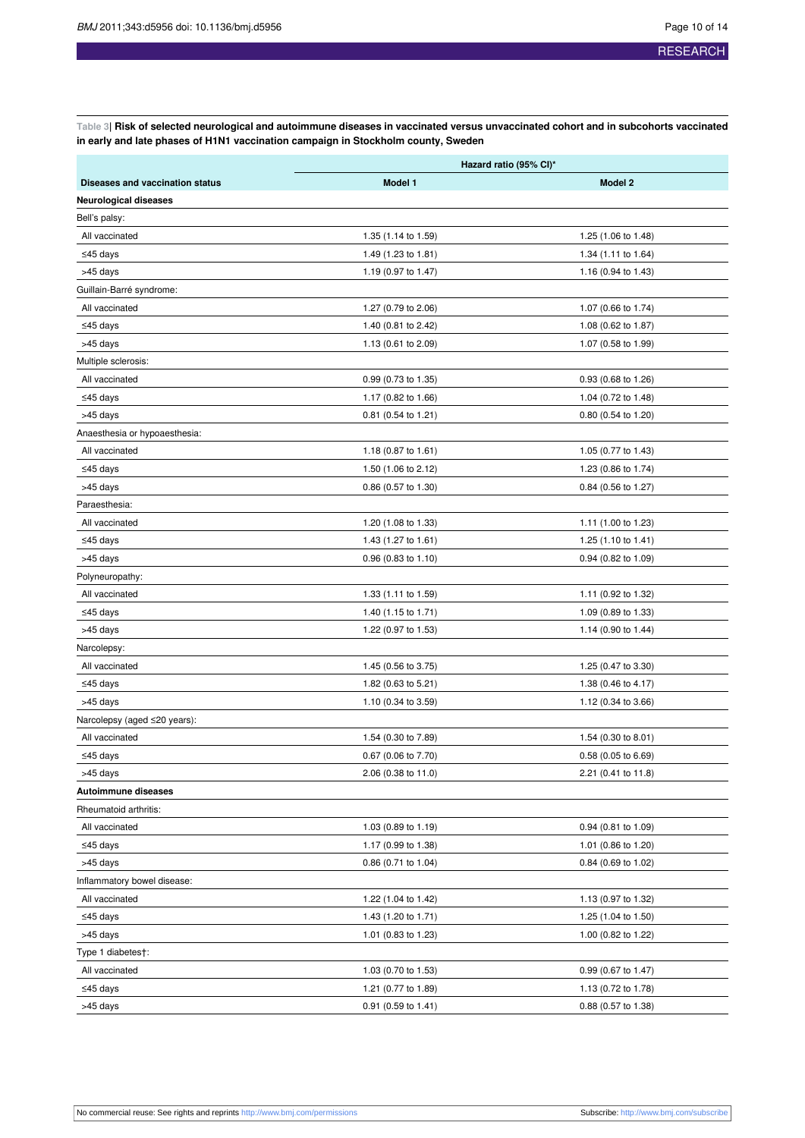<span id="page-9-0"></span>Table 3| Risk of selected neurological and autoimmune diseases in vaccinated versus unvaccinated cohort and in subcohorts vaccinated **in early and late phases of H1N1 vaccination campaign in Stockholm county, Sweden**

|                                 | Hazard ratio (95% CI)* |                     |  |  |
|---------------------------------|------------------------|---------------------|--|--|
| Diseases and vaccination status | Model 1                | Model 2             |  |  |
| <b>Neurological diseases</b>    |                        |                     |  |  |
| Bell's palsy:                   |                        |                     |  |  |
| All vaccinated                  | 1.35 (1.14 to 1.59)    | 1.25 (1.06 to 1.48) |  |  |
| ≤45 days                        | 1.49 (1.23 to 1.81)    | 1.34 (1.11 to 1.64) |  |  |
| >45 days                        | 1.19 (0.97 to 1.47)    | 1.16 (0.94 to 1.43) |  |  |
| Guillain-Barré syndrome:        |                        |                     |  |  |
| All vaccinated                  | 1.27 (0.79 to 2.06)    | 1.07 (0.66 to 1.74) |  |  |
| ≤45 days                        | 1.40 (0.81 to 2.42)    | 1.08 (0.62 to 1.87) |  |  |
| >45 days                        | 1.13 (0.61 to 2.09)    | 1.07 (0.58 to 1.99) |  |  |
| Multiple sclerosis:             |                        |                     |  |  |
| All vaccinated                  | 0.99 (0.73 to 1.35)    | 0.93 (0.68 to 1.26) |  |  |
| ≤45 days                        | 1.17 (0.82 to 1.66)    | 1.04 (0.72 to 1.48) |  |  |
| >45 days                        | 0.81 (0.54 to 1.21)    | 0.80 (0.54 to 1.20) |  |  |
| Anaesthesia or hypoaesthesia:   |                        |                     |  |  |
| All vaccinated                  | 1.18 (0.87 to 1.61)    | 1.05 (0.77 to 1.43) |  |  |
| ≤45 days                        | 1.50 (1.06 to 2.12)    | 1.23 (0.86 to 1.74) |  |  |
| >45 days                        | 0.86 (0.57 to 1.30)    | 0.84 (0.56 to 1.27) |  |  |
| Paraesthesia:                   |                        |                     |  |  |
| All vaccinated                  | 1.20 (1.08 to 1.33)    | 1.11 (1.00 to 1.23) |  |  |
| ≤45 days                        | 1.43 (1.27 to 1.61)    | 1.25 (1.10 to 1.41) |  |  |
| >45 days                        | $0.96$ (0.83 to 1.10)  | 0.94 (0.82 to 1.09) |  |  |
| Polyneuropathy:                 |                        |                     |  |  |
| All vaccinated                  | 1.33 (1.11 to 1.59)    | 1.11 (0.92 to 1.32) |  |  |
| ≤45 days                        | 1.40 (1.15 to 1.71)    | 1.09 (0.89 to 1.33) |  |  |
| >45 days                        | 1.22 (0.97 to 1.53)    | 1.14 (0.90 to 1.44) |  |  |
| Narcolepsy:                     |                        |                     |  |  |
| All vaccinated                  | 1.45 (0.56 to 3.75)    | 1.25 (0.47 to 3.30) |  |  |
| ≤45 days                        | 1.82 (0.63 to 5.21)    | 1.38 (0.46 to 4.17) |  |  |
| >45 days                        | 1.10 (0.34 to 3.59)    | 1.12 (0.34 to 3.66) |  |  |
| Narcolepsy (aged ≤20 years):    |                        |                     |  |  |
| All vaccinated                  | 1.54 (0.30 to 7.89)    | 1.54 (0.30 to 8.01) |  |  |
| ≤45 days                        | 0.67 (0.06 to 7.70)    | 0.58 (0.05 to 6.69) |  |  |
| >45 days                        | 2.06 (0.38 to 11.0)    | 2.21 (0.41 to 11.8) |  |  |
| Autoimmune diseases             |                        |                     |  |  |
| Rheumatoid arthritis:           |                        |                     |  |  |
| All vaccinated                  | 1.03 (0.89 to 1.19)    | 0.94 (0.81 to 1.09) |  |  |
| ≤45 days                        | 1.17 (0.99 to 1.38)    | 1.01 (0.86 to 1.20) |  |  |
| >45 days                        | $0.86$ (0.71 to 1.04)  | 0.84 (0.69 to 1.02) |  |  |
| Inflammatory bowel disease:     |                        |                     |  |  |
| All vaccinated                  | 1.22 (1.04 to 1.42)    | 1.13 (0.97 to 1.32) |  |  |
| $≤45$ days                      | 1.43 (1.20 to 1.71)    | 1.25 (1.04 to 1.50) |  |  |
| >45 days                        | 1.01 (0.83 to 1.23)    | 1.00 (0.82 to 1.22) |  |  |
| Type 1 diabetes†:               |                        |                     |  |  |
| All vaccinated                  | 1.03 (0.70 to 1.53)    | 0.99 (0.67 to 1.47) |  |  |
| $≤45$ days                      | 1.21 (0.77 to 1.89)    | 1.13 (0.72 to 1.78) |  |  |
| >45 days                        | $0.91$ (0.59 to 1.41)  | 0.88 (0.57 to 1.38) |  |  |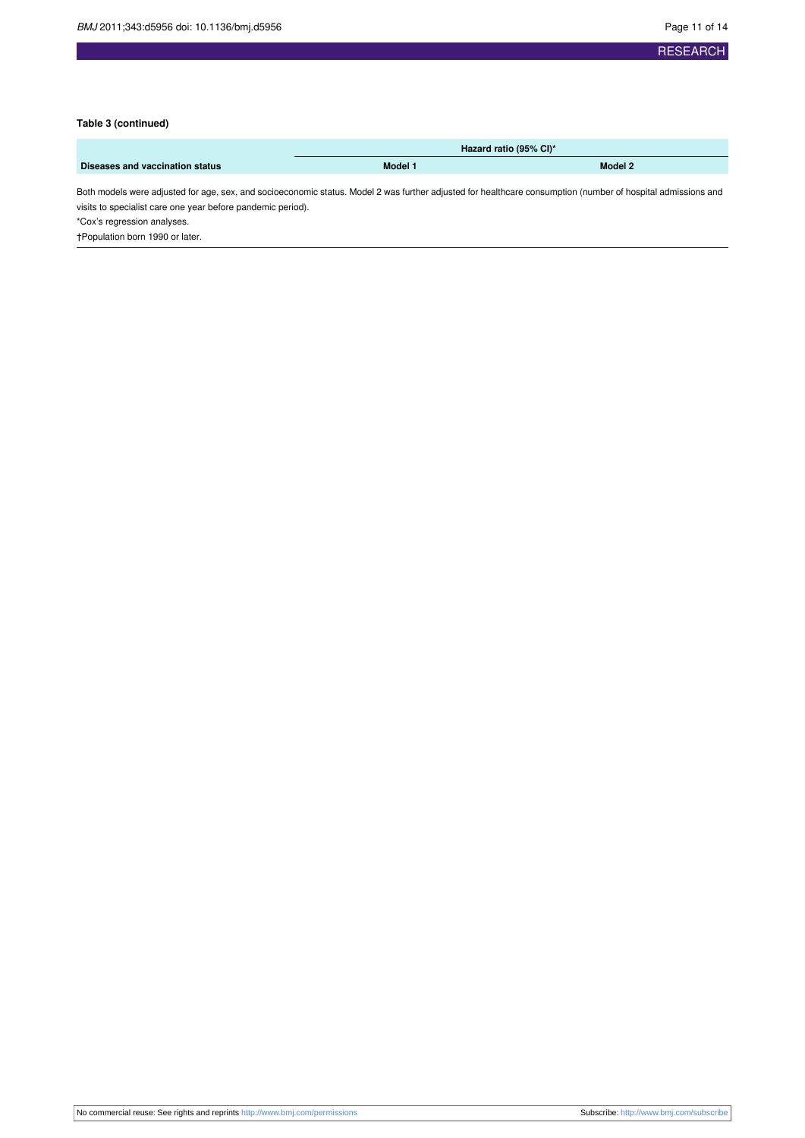#### **Table 3 (continued)**

|                                 | Hazard ratio (95% CI)* |         |  |
|---------------------------------|------------------------|---------|--|
| Diseases and vaccination status | Model 1                | Model 2 |  |

Both models were adjusted for age, sex, and socioeconomic status. Model 2 was further adjusted for healthcare consumption (number of hospital admissions and visits to specialist care one year before pandemic period).

\*Cox's regression analyses.

†Population born 1990 or later.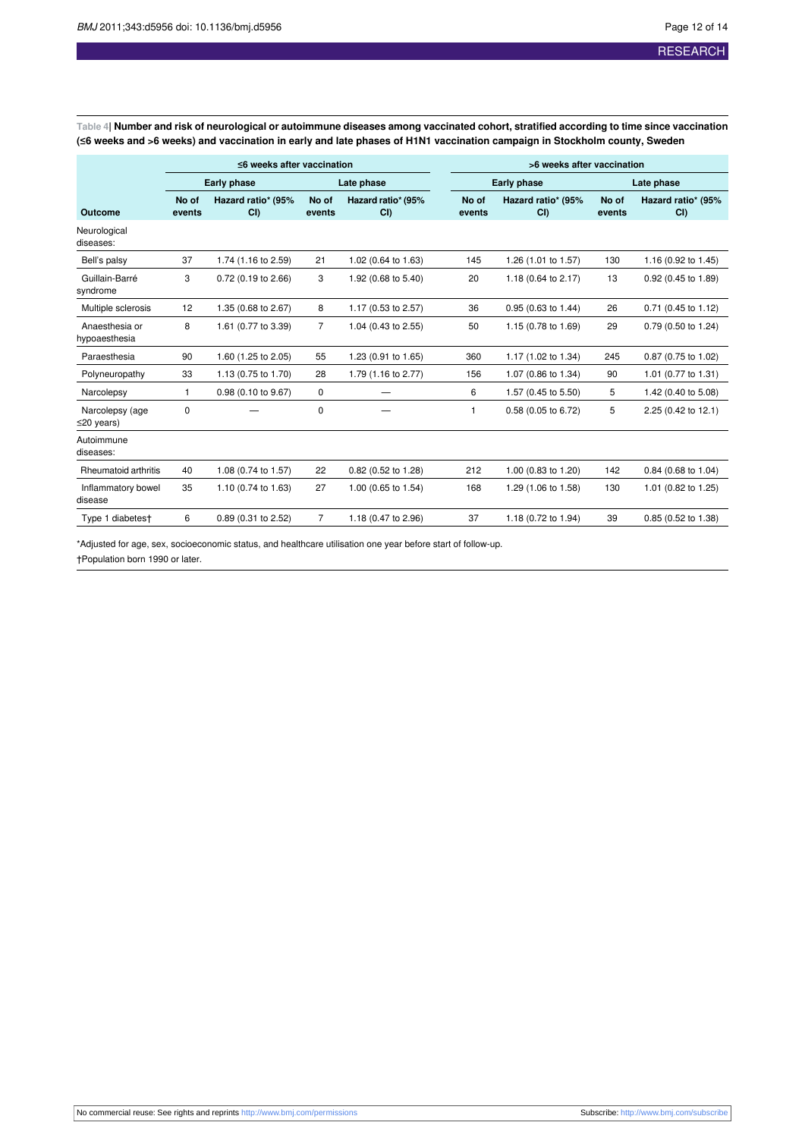<span id="page-11-0"></span>Table 4| Number and risk of neurological or autoimmune diseases among vaccinated cohort, stratified according to time since vaccination (≤6 weeks and >6 weeks) and vaccination in early and late phases of H1N1 vaccination campaign in Stockholm county, Sweden

|                                     | $\leq$ 6 weeks after vaccination |                            |                 | >6 weeks after vaccination |                 |                               |                 |                            |
|-------------------------------------|----------------------------------|----------------------------|-----------------|----------------------------|-----------------|-------------------------------|-----------------|----------------------------|
|                                     |                                  | <b>Early phase</b>         |                 | Late phase                 |                 | Early phase                   | Late phase      |                            |
| Outcome                             | No of<br>events                  | Hazard ratio* (95%<br>CI() | No of<br>events | Hazard ratio* (95%<br>CI   | No of<br>events | Hazard ratio* (95%<br>CI()    | No of<br>events | Hazard ratio* (95%<br>CI() |
| Neurological<br>diseases:           |                                  |                            |                 |                            |                 |                               |                 |                            |
| Bell's palsy                        | 37                               | 1.74 (1.16 to 2.59)        | 21              | 1.02 (0.64 to 1.63)        | 145             | 1.26 (1.01 to 1.57)           | 130             | 1.16 (0.92 to 1.45)        |
| Guillain-Barré<br>syndrome          | 3                                | 0.72 (0.19 to 2.66)        | 3               | 1.92 (0.68 to 5.40)        | 20              | 1.18 (0.64 to 2.17)           | 13              | 0.92 (0.45 to 1.89)        |
| Multiple sclerosis                  | 12                               | 1.35 (0.68 to 2.67)        | 8               | 1.17 (0.53 to 2.57)        | 36              | $0.95(0.63 \text{ to } 1.44)$ | 26              | 0.71 (0.45 to 1.12)        |
| Anaesthesia or<br>hypoaesthesia     | 8                                | 1.61 (0.77 to 3.39)        | $\overline{7}$  | 1.04 (0.43 to 2.55)        | 50              | 1.15 (0.78 to 1.69)           | 29              | 0.79 (0.50 to 1.24)        |
| Paraesthesia                        | 90                               | 1.60 (1.25 to 2.05)        | 55              | 1.23 (0.91 to 1.65)        | 360             | 1.17 (1.02 to 1.34)           | 245             | 0.87 (0.75 to 1.02)        |
| Polyneuropathy                      | 33                               | 1.13 (0.75 to 1.70)        | 28              | 1.79 (1.16 to 2.77)        | 156             | 1.07 (0.86 to 1.34)           | 90              | 1.01 (0.77 to 1.31)        |
| Narcolepsy                          | 1                                | 0.98 (0.10 to 9.67)        | 0               |                            | 6               | 1.57 (0.45 to 5.50)           | 5               | 1.42 (0.40 to 5.08)        |
| Narcolepsy (age<br>$\leq$ 20 years) | 0                                |                            | 0               |                            | $\mathbf{1}$    | 0.58 (0.05 to 6.72)           | 5               | 2.25 (0.42 to 12.1)        |
| Autoimmune<br>diseases:             |                                  |                            |                 |                            |                 |                               |                 |                            |
| Rheumatoid arthritis                | 40                               | 1.08 (0.74 to 1.57)        | 22              | 0.82 (0.52 to 1.28)        | 212             | 1.00 (0.83 to 1.20)           | 142             | 0.84 (0.68 to 1.04)        |
| Inflammatory bowel<br>disease       | 35                               | 1.10 (0.74 to 1.63)        | 27              | 1.00 (0.65 to 1.54)        | 168             | 1.29 (1.06 to 1.58)           | 130             | 1.01 (0.82 to 1.25)        |
| Type 1 diabetest                    | 6                                | 0.89 (0.31 to 2.52)        | 7               | 1.18 (0.47 to 2.96)        | 37              | 1.18 (0.72 to 1.94)           | 39              | 0.85 (0.52 to 1.38)        |

\*Adjusted for age, sex, socioeconomic status, and healthcare utilisation one year before start of follow-up.

†Population born 1990 or later.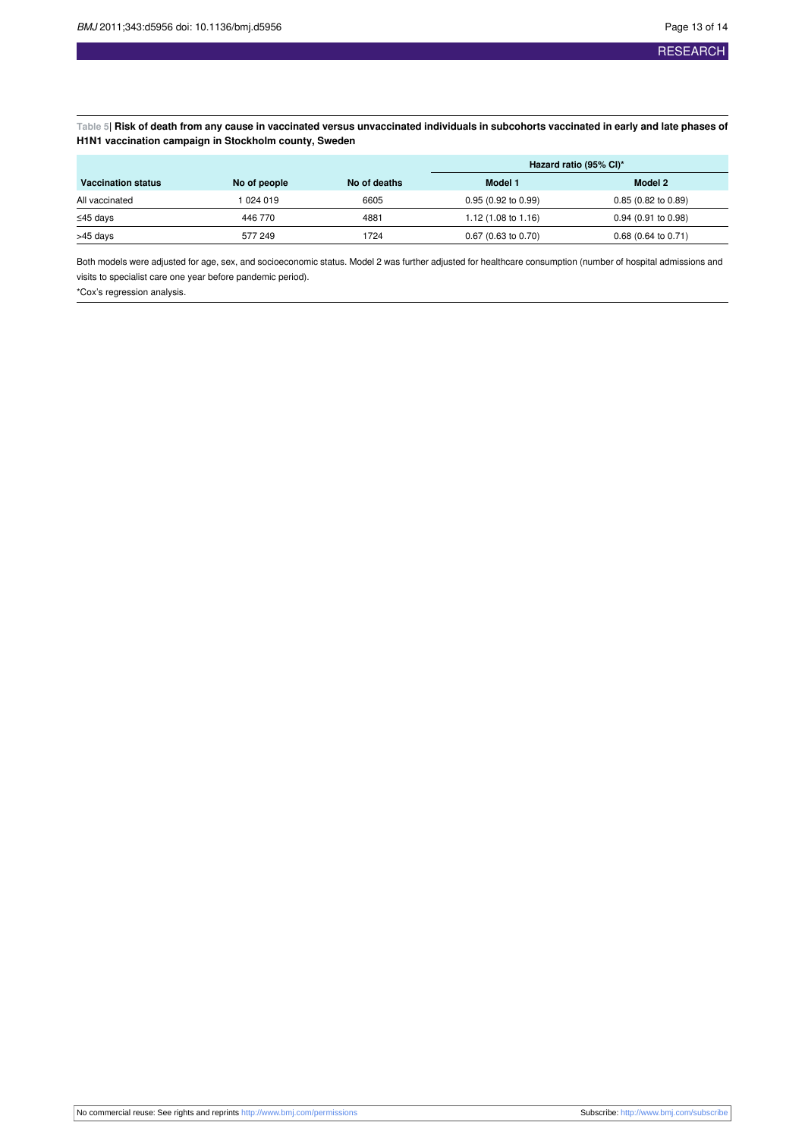<span id="page-12-0"></span>Table 5| Risk of death from any cause in vaccinated versus unvaccinated individuals in subcohorts vaccinated in early and late phases of **H1N1 vaccination campaign in Stockholm county, Sweden**

|                           |              |              | Hazard ratio (95% CI)* |                               |  |
|---------------------------|--------------|--------------|------------------------|-------------------------------|--|
| <b>Vaccination status</b> | No of people | No of deaths | Model 1                | Model 2                       |  |
| All vaccinated            | 1 024 019    | 6605         | 0.95(0.92 to 0.99)     | $0.85(0.82 \text{ to } 0.89)$ |  |
| ≤45 days                  | 446 770      | 4881         | 1.12 (1.08 to 1.16)    | $0.94$ (0.91 to 0.98)         |  |
| >45 days                  | 577 249      | 1724         | $0.67$ (0.63 to 0.70)  | $0.68$ (0.64 to 0.71)         |  |

Both models were adjusted for age, sex, and socioeconomic status. Model 2 was further adjusted for healthcare consumption (number of hospital admissions and visits to specialist care one year before pandemic period).

\*Cox's regression analysis.